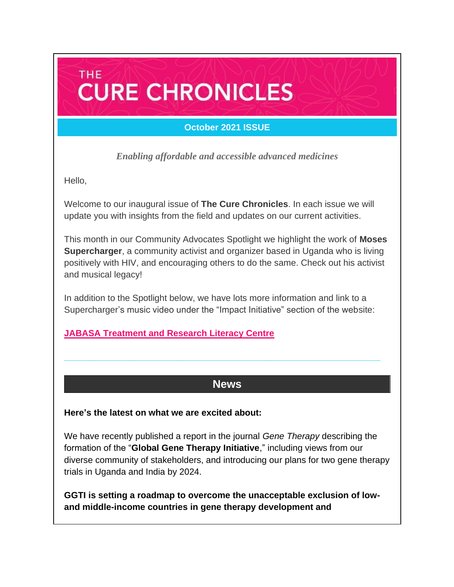# **THE CURE CHRONICLES**

### **October 2021 ISSUE**

*Enabling affordable and accessible advanced medicines*

Hello,

Welcome to our inaugural issue of **The Cure Chronicles**. In each issue we will update you with insights from the field and updates on our current activities.

This month in our Community Advocates Spotlight we highlight the work of **Moses Supercharger**, a community activist and organizer based in Uganda who is living positively with HIV, and encouraging others to do the same. Check out his activist and musical legacy!

In addition to the Spotlight below, we have lots more information and link to a Supercharger's music video under the "Impact Initiative" section of the website:

### **[JABASA Treatment and Research Literacy Centre](https://caringcross.org/jabasa-treatment/)**

### **News**

**\_\_\_\_\_\_\_\_\_\_\_\_\_\_\_\_\_\_\_\_\_\_\_\_\_\_\_\_\_\_\_\_\_\_\_\_\_\_\_\_\_\_\_\_\_\_\_\_\_\_\_\_\_\_\_\_\_\_\_\_\_\_\_\_**

#### **Here's the latest on what we are excited about:**

We have recently published a report in the journal *Gene Therapy* describing the formation of the "**Global Gene Therapy Initiative**," including views from our diverse community of stakeholders, and introducing our plans for two gene therapy trials in Uganda and India by 2024.

**GGTI is setting a roadmap to overcome the unacceptable exclusion of lowand middle-income countries in gene therapy development and**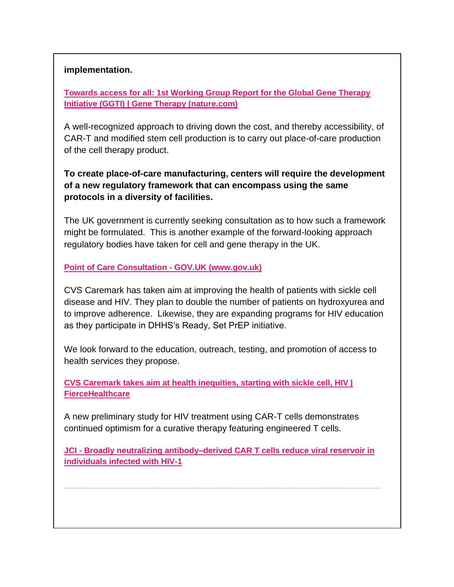#### **implementation.**

**[Towards access for all: 1st Working Group Report for the Global Gene Therapy](https://www.nature.com/articles/s41434-021-00284-4)  [Initiative \(GGTI\) | Gene Therapy \(nature.com\)](https://www.nature.com/articles/s41434-021-00284-4)**

A well-recognized approach to driving down the cost, and thereby accessibility, of CAR-T and modified stem cell production is to carry out place-of-care production of the cell therapy product.

**To create place-of-care manufacturing, centers will require the development of a new regulatory framework that can encompass using the same protocols in a diversity of facilities.** 

The UK government is currently seeking consultation as to how such a framework might be formulated. This is another example of the forward-looking approach regulatory bodies have taken for cell and gene therapy in the UK.

**[Point of Care Consultation -](https://www.gov.uk/government/consultations/point-of-care-consultation) GOV.UK (www.gov.uk)**

CVS Caremark has taken aim at improving the health of patients with sickle cell disease and HIV. They plan to double the number of patients on hydroxyurea and to improve adherence. Likewise, they are expanding programs for HIV education as they participate in DHHS's Ready, Set PrEP initiative.

We look forward to the education, outreach, testing, and promotion of access to health services they propose.

**[CVS Caremark takes aim at health inequities, starting with sickle cell, HIV |](https://www.fiercehealthcare.com/payer/cvs-caremark-takes-aim-at-health-inequities-starting-sickle-cell-hiv)  [FierceHealthcare](https://www.fiercehealthcare.com/payer/cvs-caremark-takes-aim-at-health-inequities-starting-sickle-cell-hiv)**

A new preliminary study for HIV treatment using CAR-T cells demonstrates continued optimism for a curative therapy featuring engineered T cells.

**JCI - [Broadly neutralizing antibody–derived CAR T cells reduce viral reservoir in](https://www.jci.org/articles/view/150211)  [individuals infected with HIV-1](https://www.jci.org/articles/view/150211)**

**\_\_\_\_\_\_\_\_\_\_\_\_\_\_\_\_\_\_\_\_\_\_\_\_\_\_\_\_\_\_\_\_\_\_\_\_\_\_\_\_\_\_\_\_\_\_\_\_\_\_\_\_\_\_\_\_\_\_\_\_\_\_\_\_**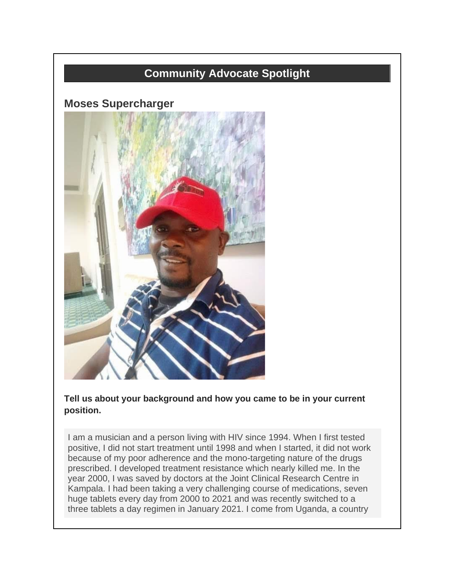# **Community Advocate Spotlight**

### **Moses Supercharger**



**Tell us about your background and how you came to be in your current position.**

I am a musician and a person living with HIV since 1994. When I first tested positive, I did not start treatment until 1998 and when I started, it did not work because of my poor adherence and the mono-targeting nature of the drugs prescribed. I developed treatment resistance which nearly killed me. In the year 2000, I was saved by doctors at the Joint Clinical Research Centre in Kampala. I had been taking a very challenging course of medications, seven huge tablets every day from 2000 to 2021 and was recently switched to a three tablets a day regimen in January 2021. I come from Uganda, a country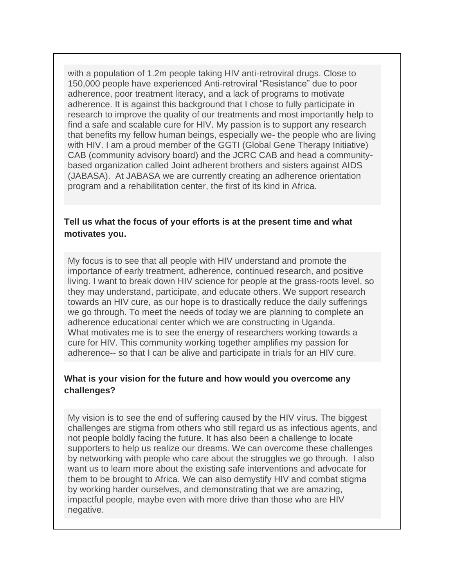with a population of 1.2m people taking HIV anti-retroviral drugs. Close to 150,000 people have experienced Anti-retroviral "Resistance" due to poor adherence, poor treatment literacy, and a lack of programs to motivate adherence. It is against this background that I chose to fully participate in research to improve the quality of our treatments and most importantly help to find a safe and scalable cure for HIV. My passion is to support any research that benefits my fellow human beings, especially we- the people who are living with HIV. I am a proud member of the GGTI (Global Gene Therapy Initiative) CAB (community advisory board) and the JCRC CAB and head a communitybased organization called Joint adherent brothers and sisters against AIDS (JABASA). At JABASA we are currently creating an adherence orientation program and a rehabilitation center, the first of its kind in Africa.

#### **Tell us what the focus of your efforts is at the present time and what motivates you.**

My focus is to see that all people with HIV understand and promote the importance of early treatment, adherence, continued research, and positive living. I want to break down HIV science for people at the grass-roots level, so they may understand, participate, and educate others. We support research towards an HIV cure, as our hope is to drastically reduce the daily sufferings we go through. To meet the needs of today we are planning to complete an adherence educational center which we are constructing in Uganda. What motivates me is to see the energy of researchers working towards a cure for HIV. This community working together amplifies my passion for adherence-- so that I can be alive and participate in trials for an HIV cure.

#### **What is your vision for the future and how would you overcome any challenges?**

My vision is to see the end of suffering caused by the HIV virus. The biggest challenges are stigma from others who still regard us as infectious agents, and not people boldly facing the future. It has also been a challenge to locate supporters to help us realize our dreams. We can overcome these challenges by networking with people who care about the struggles we go through. I also want us to learn more about the existing safe interventions and advocate for them to be brought to Africa. We can also demystify HIV and combat stigma by working harder ourselves, and demonstrating that we are amazing, impactful people, maybe even with more drive than those who are HIV negative.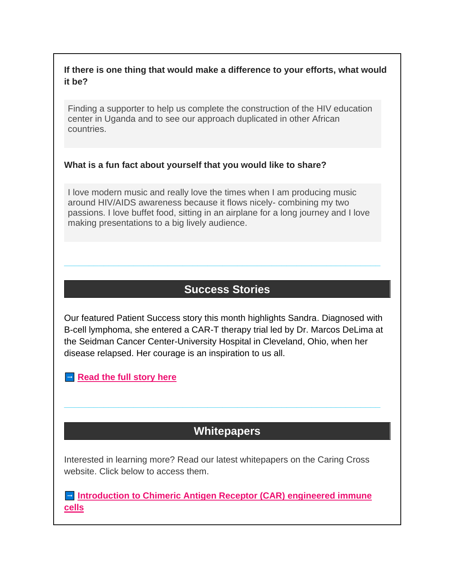#### **If there is one thing that would make a difference to your efforts, what would it be?**

Finding a supporter to help us complete the construction of the HIV education center in Uganda and to see our approach duplicated in other African countries.

#### **What is a fun fact about yourself that you would like to share?**

I love modern music and really love the times when I am producing music around HIV/AIDS awareness because it flows nicely- combining my two passions. I love buffet food, sitting in an airplane for a long journey and I love making presentations to a big lively audience.

# **Success Stories**

**\_\_\_\_\_\_\_\_\_\_\_\_\_\_\_\_\_\_\_\_\_\_\_\_\_\_\_\_\_\_\_\_\_\_\_\_\_\_\_\_\_\_\_\_\_\_\_\_\_\_\_\_\_\_\_\_\_\_\_\_\_\_\_\_**

Our featured Patient Success story this month highlights Sandra. Diagnosed with B-cell lymphoma, she entered a CAR-T therapy trial led by Dr. Marcos DeLima at the Seidman Cancer Center-University Hospital in Cleveland, Ohio, when her disease relapsed. Her courage is an inspiration to us all.

**[Read the full story here](https://caringcross.org/patient-success/)** 

# **Whitepapers**

**\_\_\_\_\_\_\_\_\_\_\_\_\_\_\_\_\_\_\_\_\_\_\_\_\_\_\_\_\_\_\_\_\_\_\_\_\_\_\_\_\_\_\_\_\_\_\_\_\_\_\_\_\_\_\_\_\_\_\_\_\_\_\_\_**

Interested in learning more? Read our latest whitepapers on the Caring Cross website. Click below to access them.

**<u>Introduction to Chimeric Antigen Receptor (CAR) engineered immune</u> [cells](https://caringcross.org/whitepapers/)**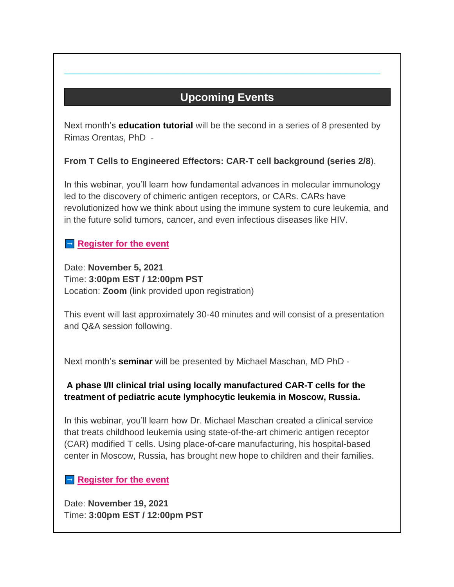# **Upcoming Events**

**\_\_\_\_\_\_\_\_\_\_\_\_\_\_\_\_\_\_\_\_\_\_\_\_\_\_\_\_\_\_\_\_\_\_\_\_\_\_\_\_\_\_\_\_\_\_\_\_\_\_\_\_\_\_\_\_\_\_\_\_\_\_\_\_**

Next month's **education tutorial** will be the second in a series of 8 presented by Rimas Orentas, PhD -

**From T Cells to Engineered Effectors: CAR-T cell background (series 2/8**).

In this webinar, you'll learn how fundamental advances in molecular immunology led to the discovery of chimeric antigen receptors, or CARs. CARs have revolutionized how we think about using the immune system to cure leukemia, and in the future solid tumors, cancer, and even infectious diseases like HIV.

### **[Register for the event](https://us02web.zoom.us/webinar/register/WN_PtFKcp3eRvKslV-EZJ9CoA)**

Date: **November 5, 2021** Time: **3:00pm EST / 12:00pm PST**  Location: **Zoom** (link provided upon registration)

This event will last approximately 30-40 minutes and will consist of a presentation and Q&A session following.

Next month's **seminar** will be presented by Michael Maschan, MD PhD -

### **A phase I/II clinical trial using locally manufactured CAR-T cells for the treatment of pediatric acute lymphocytic leukemia in Moscow, Russia.**

In this webinar, you'll learn how Dr. Michael Maschan created a clinical service that treats childhood leukemia using state-of-the-art chimeric antigen receptor (CAR) modified T cells. Using place-of-care manufacturing, his hospital-based center in Moscow, Russia, has brought new hope to children and their families.

### **[Register for the event](https://us02web.zoom.us/webinar/register/WN_PtFKcp3eRvKslV-EZJ9CoA)**

Date: **November 19, 2021** Time: **3:00pm EST / 12:00pm PST**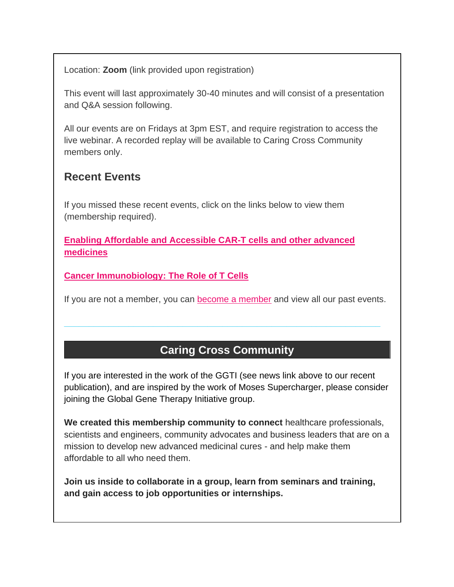Location: **Zoom** (link provided upon registration)

This event will last approximately 30-40 minutes and will consist of a presentation and Q&A session following.

All our events are on Fridays at 3pm EST, and require registration to access the live webinar. A recorded replay will be available to Caring Cross Community members only.

## **Recent Events**

If you missed these recent events, click on the links below to view them (membership required).

**[Enabling Affordable and Accessible CAR-T cells and other advanced](https://caringcross.org/archives/)  [medicines](https://caringcross.org/archives/)**

**[Cancer Immunobiology: The Role of T Cells](https://caringcross.org/archives/)**

If you are not a member, you can [become a member](https://caringcross.org/become-a-member/) and view all our past events.

**\_\_\_\_\_\_\_\_\_\_\_\_\_\_\_\_\_\_\_\_\_\_\_\_\_\_\_\_\_\_\_\_\_\_\_\_\_\_\_\_\_\_\_\_\_\_\_\_\_\_\_\_\_\_\_\_\_\_\_\_\_\_\_\_**

# **Caring Cross Community**

If you are interested in the work of the GGTI (see news link above to our recent publication), and are inspired by the work of Moses Supercharger, please consider joining the Global Gene Therapy Initiative group.

**We created this membership community to connect** healthcare professionals, scientists and engineers, community advocates and business leaders that are on a mission to develop new advanced medicinal cures - and help make them affordable to all who need them.

**Join us inside to collaborate in a group, learn from seminars and training, and gain access to job opportunities or internships.**